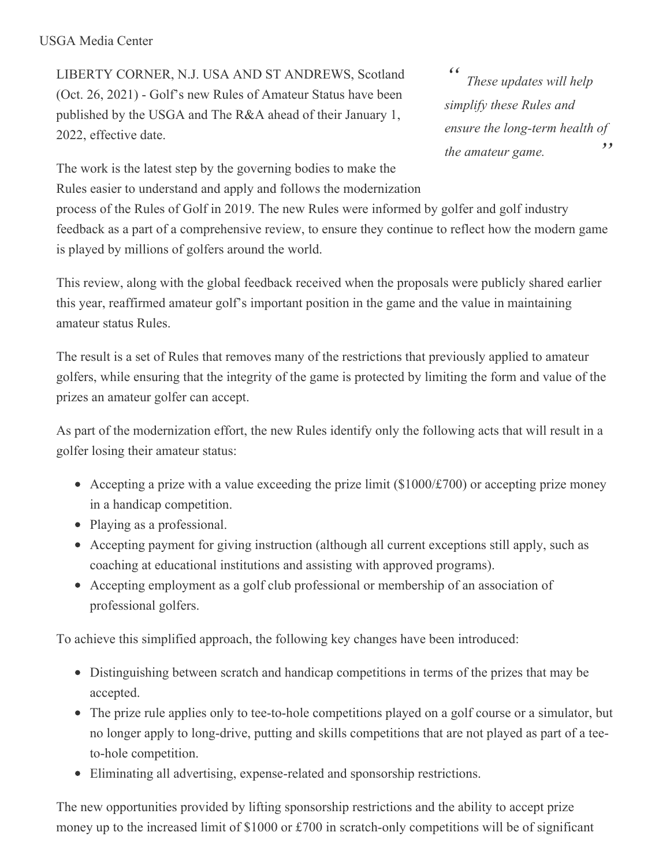## USGA Media Center

LIBERTY CORNER, N.J. USA AND ST ANDREWS, Scotland (Oct. 26, 2021) - Golf's new Rules of Amateur Status have been published by the USGA and The R&A ahead of their January 1, 2022, effective date.

*" " These updates will help simplify these Rules and ensure the long-term health of the amateur game.*

The work is the latest step by the governing bodies to make the Rules easier to understand and apply and follows the modernization

process of the Rules of Golf in 2019. The new Rules were informed by golfer and golf industry feedback as a part of a comprehensive review, to ensure they continue to reflect how the modern game is played by millions of golfers around the world.

This review, along with the global feedback received when the proposals were publicly shared earlier this year, reaffirmed amateur golf's important position in the game and the value in maintaining amateur status Rules.

The result is a set of Rules that removes many of the restrictions that previously applied to amateur golfers, while ensuring that the integrity of the game is protected by limiting the form and value of the prizes an amateur golfer can accept.

As part of the modernization effort, the new Rules identify only the following acts that will result in a golfer losing their amateur status:

- Accepting a prize with a value exceeding the prize limit  $(\$1000/\text{\textsterling}700)$  or accepting prize money in a handicap competition.
- Playing as a professional.
- Accepting payment for giving instruction (although all current exceptions still apply, such as coaching at educational institutions and assisting with approved programs).
- Accepting employment as a golf club professional or membership of an association of professional golfers.

To achieve this simplified approach, the following key changes have been introduced:

- Distinguishing between scratch and handicap competitions in terms of the prizes that may be accepted.
- The prize rule applies only to tee-to-hole competitions played on a golf course or a simulator, but no longer apply to long-drive, putting and skills competitions that are not played as part of a teeto-hole competition.
- Eliminating all advertising, expense-related and sponsorship restrictions.

The new opportunities provided by lifting sponsorship restrictions and the ability to accept prize money up to the increased limit of \$1000 or £700 in scratch-only competitions will be of significant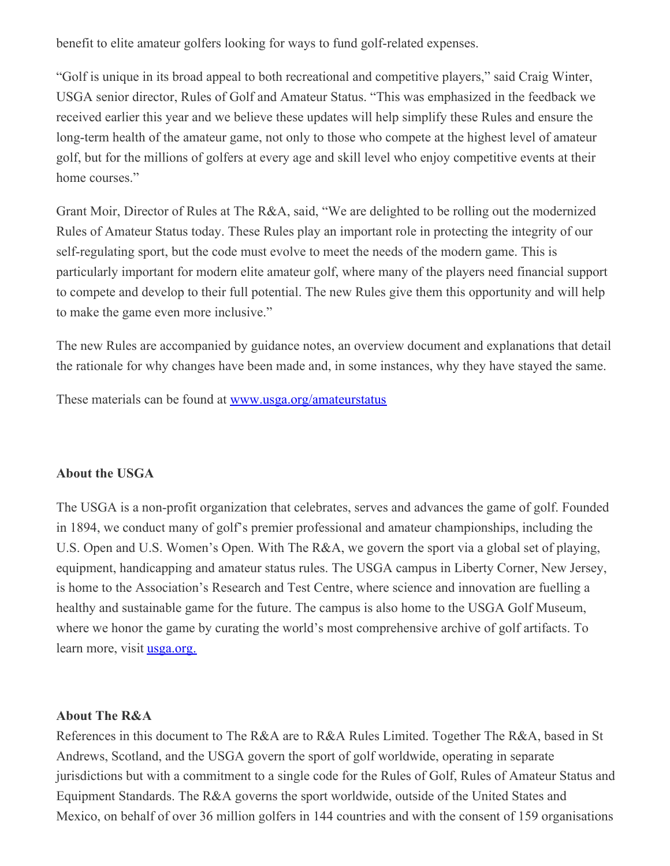benefit to elite amateur golfers looking for ways to fund golf-related expenses.

"Golf is unique in its broad appeal to both recreational and competitive players," said Craig Winter, USGA senior director, Rules of Golf and Amateur Status. "This was emphasized in the feedback we received earlier this year and we believe these updates will help simplify these Rules and ensure the long-term health of the amateur game, not only to those who compete at the highest level of amateur golf, but for the millions of golfers at every age and skill level who enjoy competitive events at their home courses."

Grant Moir, Director of Rules at The R&A, said, "We are delighted to be rolling out the modernized Rules of Amateur Status today. These Rules play an important role in protecting the integrity of our self-regulating sport, but the code must evolve to meet the needs of the modern game. This is particularly important for modern elite amateur golf, where many of the players need financial support to compete and develop to their full potential. The new Rules give them this opportunity and will help to make the game even more inclusive."

The new Rules are accompanied by guidance notes, an overview document and explanations that detail the rationale for why changes have been made and, in some instances, why they have stayed the same.

These materials can be found at [www.usga.org/amateurstatus](http://www.usga.org/amateurstatus)

## **About the USGA**

The USGA is a non-profit organization that celebrates, serves and advances the game of golf. Founded in 1894, we conduct many of golf's premier professional and amateur championships, including the U.S. Open and U.S. Women's Open. With The R&A, we govern the sport via a global set of playing, equipment, handicapping and amateur status rules. The USGA campus in Liberty Corner, New Jersey, is home to the Association's Research and Test Centre, where science and innovation are fuelling a healthy and sustainable game for the future. The campus is also home to the USGA Golf Museum, where we honor the game by curating the world's most comprehensive archive of golf artifacts. To learn more, visit <u>[usga.org.](https://nam05.safelinks.protection.outlook.com/?url=https%3A%2F%2Fu7061146.ct.sendgrid.net%2Fwf%2Fclick%3Fupn%3DG62jSYfZdO-2F12d8lSllQB7gmnl52PYWAAEMAhkbjU4OlaWC8x511meYUIFJTRm05vqc9C8cWQ3CdjjrE9hBn-2B52Mft9zg-2F0rlMGJ-2BtWgVZ53QjbxLmjgWvOpkAQgPl8Dr1NWftCYh9Vhj9sG4RefC-2BSa1U6Mnlp5KxKtPFQaI8ITLtGtezWGrasMfv1fosUpBeAZ8u447sqF-2FRIfaQ6FFg-2B9ZLwsOUbSdiaEOE2H7I99zudJISGbhLG-2FW6rE-2B6x1sLeqjA8pjfCCQT77R5lH0tpU2-2FlNO354b0iK0F0q-2FI472Pv5i1YuP38aJApQw5HIrWnqoLZ6D8PjNyYwP7QWQ6nx3D-2FF-2BHcP6b1N1WpeLsVo9wX3lB0qU2isyczw4SSq_J-2BeHTanHuyk-2BHoep7wDPh2R1kThVJq8PmtKIFGzw1VsgrrYJKv79j8bFP2ubFN1ECAXj8-2BpkY4igloYTQb9FDvPSU4T-2F2qZoSr8kNzTssKlvkiROiF6Crme9f35VXfpImni31JLNLtDepchB92LZ9N6Au6sfFZHRQWzz2Vf-2FDX9qurxyp4CiWlQxkX5P9UUIcwklvLi9pXem5lNv-2BYPem6AImfOlb6-2F2w2yGrs4KnePKV-2FiiCVCoEe54NEru4K2m6aQ-2F9DLn5fMN6Qm2x16qa3HYH8w5-2BYACxsRa1IUUTG9tZQWWxLxbYAyTh7fM8K1AWgQ65LoBXWQOUUS5avx0rjki3cUB2hw1FCMdU-2FXuNVM-3D&data=02%7C01%7CJDriscoll%40USGA.org%7C46191fd57c3347ea25fb08d7a0e377b8%7C17abf7083a064391bdbd06808d1b9f81%7C0%7C0%7C637154771188552724&sdata=wfgZQMJsM6A%2B9we2n%2Bb12UPw%2Fvkh1Y64v1xq2u7BWk4%3D&reserved=0)</u>

## **About The R&A**

References in this document to The R&A are to R&A Rules Limited. Together The R&A, based in St Andrews, Scotland, and the USGA govern the sport of golf worldwide, operating in separate jurisdictions but with a commitment to a single code for the Rules of Golf, Rules of Amateur Status and Equipment Standards. The R&A governs the sport worldwide, outside of the United States and Mexico, on behalf of over 36 million golfers in 144 countries and with the consent of 159 organisations